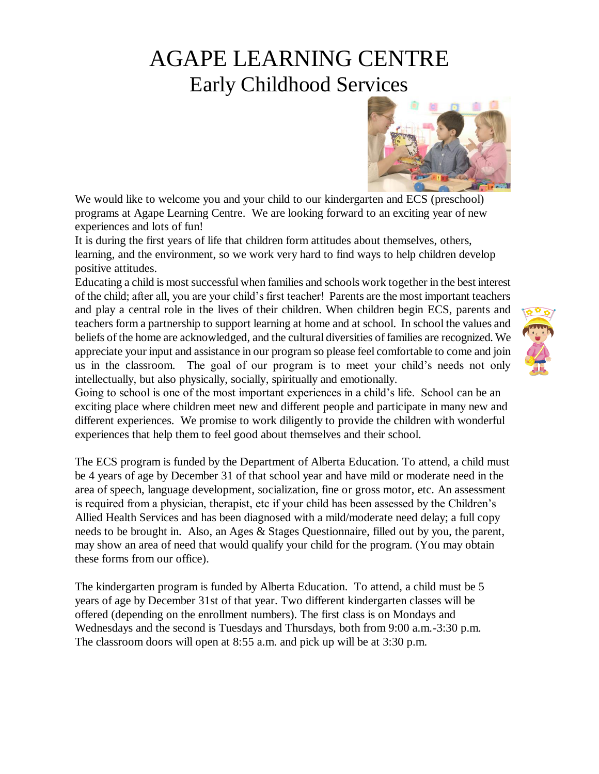# AGAPE LEARNING CENTRE Early Childhood Services



We would like to welcome you and your child to our kindergarten and ECS (preschool) programs at Agape Learning Centre. We are looking forward to an exciting year of new experiences and lots of fun!

It is during the first years of life that children form attitudes about themselves, others, learning, and the environment, so we work very hard to find ways to help children develop positive attitudes.

Educating a child is most successful when families and schools work together in the best interest of the child; after all, you are your child's first teacher! Parents are the most important teachers and play a central role in the lives of their children. When children begin ECS, parents and teachers form a partnership to support learning at home and at school. In school the values and beliefs of the home are acknowledged, and the cultural diversities of families are recognized. We appreciate your input and assistance in our program so please feel comfortable to come and join us in the classroom. The goal of our program is to meet your child's needs not only intellectually, but also physically, socially, spiritually and emotionally.



Going to school is one of the most important experiences in a child's life. School can be an exciting place where children meet new and different people and participate in many new and different experiences. We promise to work diligently to provide the children with wonderful experiences that help them to feel good about themselves and their school.

The ECS program is funded by the Department of Alberta Education. To attend, a child must be 4 years of age by December 31 of that school year and have mild or moderate need in the area of speech, language development, socialization, fine or gross motor, etc. An assessment is required from a physician, therapist, etc if your child has been assessed by the Children's Allied Health Services and has been diagnosed with a mild/moderate need delay; a full copy needs to be brought in. Also, an Ages & Stages Questionnaire, filled out by you, the parent, may show an area of need that would qualify your child for the program. (You may obtain these forms from our office).

The kindergarten program is funded by Alberta Education. To attend, a child must be 5 years of age by December 31st of that year. Two different kindergarten classes will be offered (depending on the enrollment numbers). The first class is on Mondays and Wednesdays and the second is Tuesdays and Thursdays, both from 9:00 a.m.-3:30 p.m. The classroom doors will open at 8:55 a.m. and pick up will be at 3:30 p.m.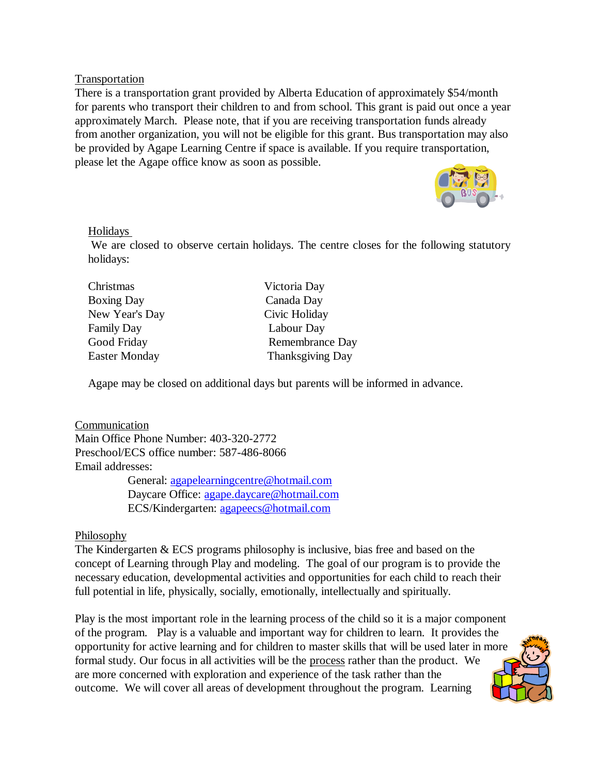Transportation

There is a transportation grant provided by Alberta Education of approximately \$54/month for parents who transport their children to and from school. This grant is paid out once a year approximately March. Please note, that if you are receiving transportation funds already from another organization, you will not be eligible for this grant. Bus transportation may also be provided by Agape Learning Centre if space is available. If you require transportation, please let the Agape office know as soon as possible.



#### Holidays

We are closed to observe certain holidays. The centre closes for the following statutory holidays:

| Christmas            | Victoria Day            |
|----------------------|-------------------------|
| <b>Boxing Day</b>    | Canada Day              |
| New Year's Day       | Civic Holiday           |
| <b>Family Day</b>    | Labour Day              |
| Good Friday          | Remembrance Day         |
| <b>Easter Monday</b> | <b>Thanksgiving Day</b> |
|                      |                         |

Agape may be closed on additional days but parents will be informed in advance.

Communication Main Office Phone Number: 403-320-2772 Preschool/ECS office number: 587-486-8066 Email addresses: General: [agapelearningcentre@hotmail.com](mailto:agapelearningcentre@hotmail.com) Daycare Office: [agape.daycare@hotmail.com](mailto:agape.daycare@hotmail.com)

ECS/Kindergarten: [agapeecs@hotmail.com](mailto:agapeecs@hotmail.com)

#### **Philosophy**

The Kindergarten & ECS programs philosophy is inclusive, bias free and based on the concept of Learning through Play and modeling. The goal of our program is to provide the necessary education, developmental activities and opportunities for each child to reach their full potential in life, physically, socially, emotionally, intellectually and spiritually.

Play is the most important role in the learning process of the child so it is a major component of the program. Play is a valuable and important way for children to learn. It provides the opportunity for active learning and for children to master skills that will be used later in more formal study. Our focus in all activities will be the process rather than the product. We are more concerned with exploration and experience of the task rather than the outcome. We will cover all areas of development throughout the program. Learning

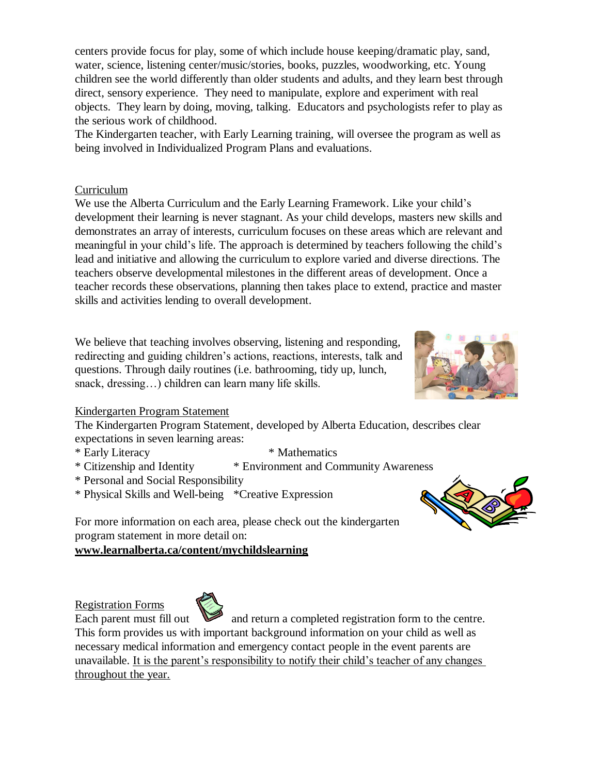centers provide focus for play, some of which include house keeping/dramatic play, sand, water, science, listening center/music/stories, books, puzzles, woodworking, etc. Young children see the world differently than older students and adults, and they learn best through direct, sensory experience. They need to manipulate, explore and experiment with real objects. They learn by doing, moving, talking. Educators and psychologists refer to play as the serious work of childhood.

The Kindergarten teacher, with Early Learning training, will oversee the program as well as being involved in Individualized Program Plans and evaluations.

## Curriculum

We use the Alberta Curriculum and the Early Learning Framework. Like your child's development their learning is never stagnant. As your child develops, masters new skills and demonstrates an array of interests, curriculum focuses on these areas which are relevant and meaningful in your child's life. The approach is determined by teachers following the child's lead and initiative and allowing the curriculum to explore varied and diverse directions. The teachers observe developmental milestones in the different areas of development. Once a teacher records these observations, planning then takes place to extend, practice and master skills and activities lending to overall development.

We believe that teaching involves observing, listening and responding, redirecting and guiding children's actions, reactions, interests, talk and questions. Through daily routines (i.e. bathrooming, tidy up, lunch, snack, dressing...) children can learn many life skills.



# Kindergarten Program Statement

The Kindergarten Program Statement, developed by Alberta Education, describes clear expectations in seven learning areas:

- \* Early Literacy \* Mathematics
- \* Citizenship and Identity \* Environment and Community Awareness
- \* Personal and Social Responsibility
- \* Physical Skills and Well-being \*Creative Expression



For more information on each area, please check out the kindergarten program statement in more detail on:

# **www.learnalberta.ca/content/mychildslearning**

Registration Forms



Each parent must fill out and return a completed registration form to the centre. This form provides us with important background information on your child as well as necessary medical information and emergency contact people in the event parents are unavailable. It is the parent's responsibility to notify their child's teacher of any changes throughout the year.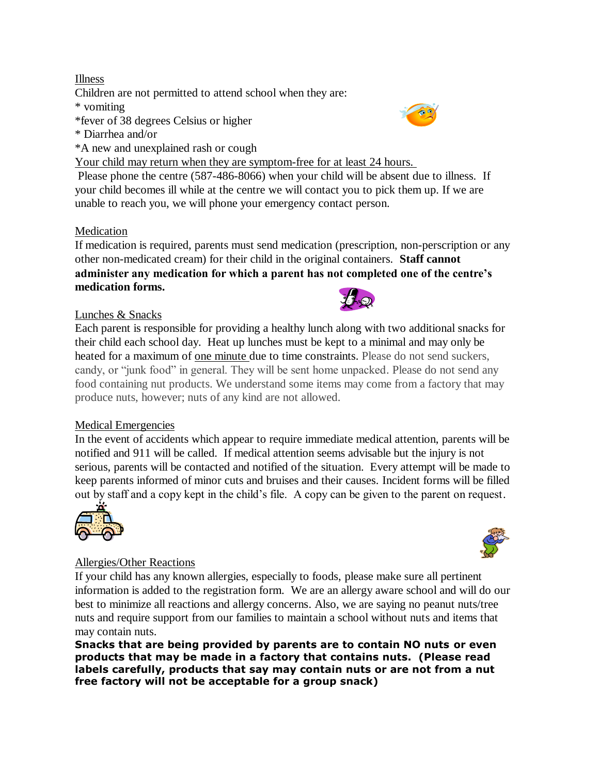# Illness

Children are not permitted to attend school when they are:

## \* vomiting

- \*fever of 38 degrees Celsius or higher
- \* Diarrhea and/or
- \*A new and unexplained rash or cough

Your child may return when they are symptom-free for at least 24 hours.

Please phone the centre (587-486-8066) when your child will be absent due to illness. If your child becomes ill while at the centre we will contact you to pick them up. If we are unable to reach you, we will phone your emergency contact person.

# Medication

If medication is required, parents must send medication (prescription, non-perscription or any other non-medicated cream) for their child in the original containers. **Staff cannot administer any medication for which a parent has not completed one of the centre's medication forms.**

# Lunches & Snacks

Each parent is responsible for providing a healthy lunch along with two additional snacks for their child each school day. Heat up lunches must be kept to a minimal and may only be heated for a maximum of one minute due to time constraints. Please do not send suckers, candy, or "junk food" in general. They will be sent home unpacked. Please do not send any food containing nut products. We understand some items may come from a factory that may produce nuts, however; nuts of any kind are not allowed.

# Medical Emergencies

In the event of accidents which appear to require immediate medical attention, parents will be notified and 911 will be called. If medical attention seems advisable but the injury is not serious, parents will be contacted and notified of the situation. Every attempt will be made to keep parents informed of minor cuts and bruises and their causes. Incident forms will be filled out by staff and a copy kept in the child's file. A copy can be given to the parent on request.



# Allergies/Other Reactions

If your child has any known allergies, especially to foods, please make sure all pertinent information is added to the registration form. We are an allergy aware school and will do our best to minimize all reactions and allergy concerns. Also, we are saying no peanut nuts/tree nuts and require support from our families to maintain a school without nuts and items that may contain nuts.

**Snacks that are being provided by parents are to contain NO nuts or even products that may be made in a factory that contains nuts. (Please read labels carefully, products that say may contain nuts or are not from a nut free factory will not be acceptable for a group snack)**



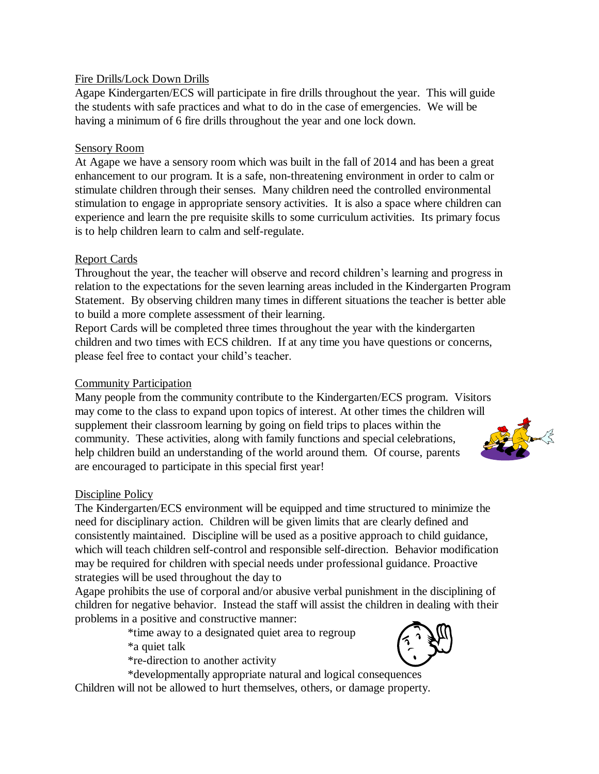## Fire Drills/Lock Down Drills

Agape Kindergarten/ECS will participate in fire drills throughout the year. This will guide the students with safe practices and what to do in the case of emergencies. We will be having a minimum of 6 fire drills throughout the year and one lock down.

## Sensory Room

At Agape we have a sensory room which was built in the fall of 2014 and has been a great enhancement to our program. It is a safe, non-threatening environment in order to calm or stimulate children through their senses. Many children need the controlled environmental stimulation to engage in appropriate sensory activities. It is also a space where children can experience and learn the pre requisite skills to some curriculum activities. Its primary focus is to help children learn to calm and self-regulate.

#### Report Cards

Throughout the year, the teacher will observe and record children's learning and progress in relation to the expectations for the seven learning areas included in the Kindergarten Program Statement. By observing children many times in different situations the teacher is better able to build a more complete assessment of their learning.

Report Cards will be completed three times throughout the year with the kindergarten children and two times with ECS children. If at any time you have questions or concerns, please feel free to contact your child's teacher.

#### Community Participation

Many people from the community contribute to the Kindergarten/ECS program. Visitors may come to the class to expand upon topics of interest. At other times the children will supplement their classroom learning by going on field trips to places within the community. These activities, along with family functions and special celebrations, help children build an understanding of the world around them. Of course, parents are encouraged to participate in this special first year!

#### Discipline Policy

The Kindergarten/ECS environment will be equipped and time structured to minimize the need for disciplinary action. Children will be given limits that are clearly defined and consistently maintained. Discipline will be used as a positive approach to child guidance, which will teach children self-control and responsible self-direction. Behavior modification may be required for children with special needs under professional guidance. Proactive strategies will be used throughout the day to

Agape prohibits the use of corporal and/or abusive verbal punishment in the disciplining of children for negative behavior. Instead the staff will assist the children in dealing with their problems in a positive and constructive manner:

> \*time away to a designated quiet area to regroup \*a quiet talk

\*re-direction to another activity

\*developmentally appropriate natural and logical consequences

Children will not be allowed to hurt themselves, others, or damage property.



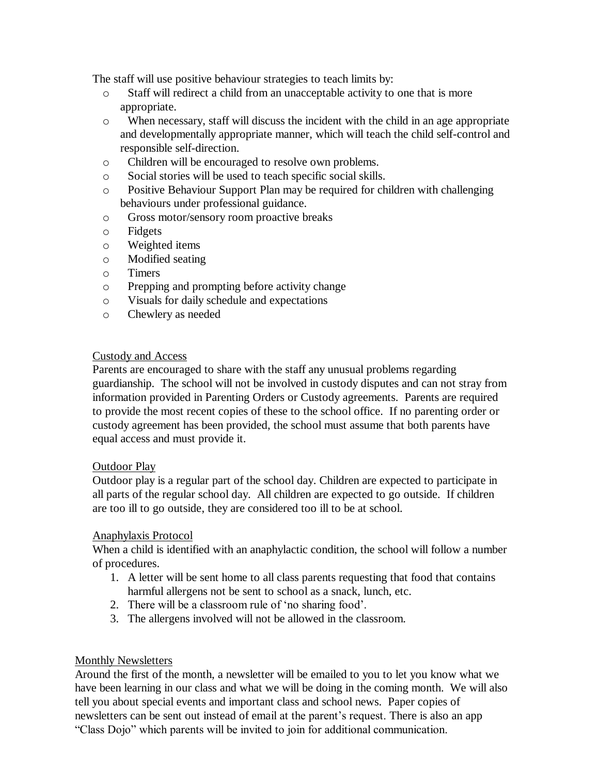The staff will use positive behaviour strategies to teach limits by:

- o Staff will redirect a child from an unacceptable activity to one that is more appropriate.
- o When necessary, staff will discuss the incident with the child in an age appropriate and developmentally appropriate manner, which will teach the child self-control and responsible self-direction.
- o Children will be encouraged to resolve own problems.
- o Social stories will be used to teach specific social skills.
- o Positive Behaviour Support Plan may be required for children with challenging behaviours under professional guidance.
- o Gross motor/sensory room proactive breaks
- o Fidgets
- o Weighted items
- o Modified seating
- o Timers
- o Prepping and prompting before activity change
- o Visuals for daily schedule and expectations
- o Chewlery as needed

#### Custody and Access

Parents are encouraged to share with the staff any unusual problems regarding guardianship. The school will not be involved in custody disputes and can not stray from information provided in Parenting Orders or Custody agreements. Parents are required to provide the most recent copies of these to the school office. If no parenting order or custody agreement has been provided, the school must assume that both parents have equal access and must provide it.

#### Outdoor Play

Outdoor play is a regular part of the school day. Children are expected to participate in all parts of the regular school day. All children are expected to go outside. If children are too ill to go outside, they are considered too ill to be at school.

#### Anaphylaxis Protocol

When a child is identified with an anaphylactic condition, the school will follow a number of procedures.

- 1. A letter will be sent home to all class parents requesting that food that contains harmful allergens not be sent to school as a snack, lunch, etc.
- 2. There will be a classroom rule of 'no sharing food'.
- 3. The allergens involved will not be allowed in the classroom.

#### Monthly Newsletters

Around the first of the month, a newsletter will be emailed to you to let you know what we have been learning in our class and what we will be doing in the coming month. We will also tell you about special events and important class and school news. Paper copies of newsletters can be sent out instead of email at the parent's request. There is also an app "Class Dojo" which parents will be invited to join for additional communication.